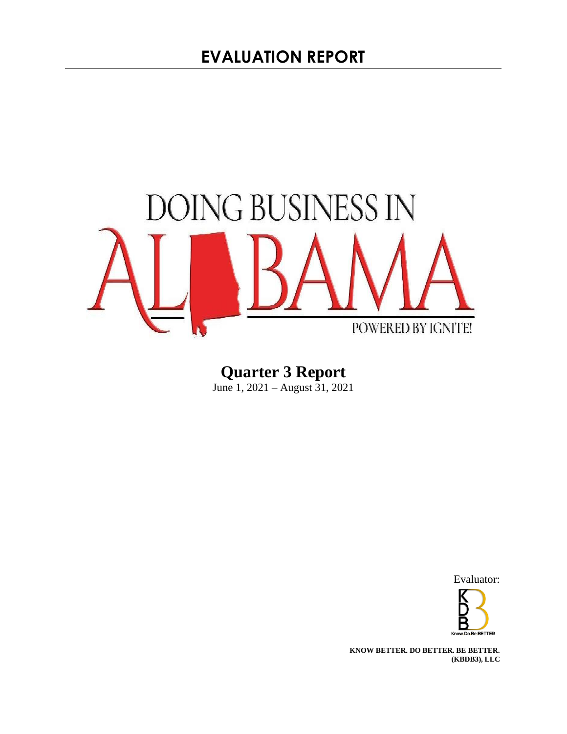

**Quarter 3 Report**  June 1, 2021 – August 31, 2021

Evaluator:



**KNOW BETTER. DO BETTER. BE BETTER. (KBDB3), LLC**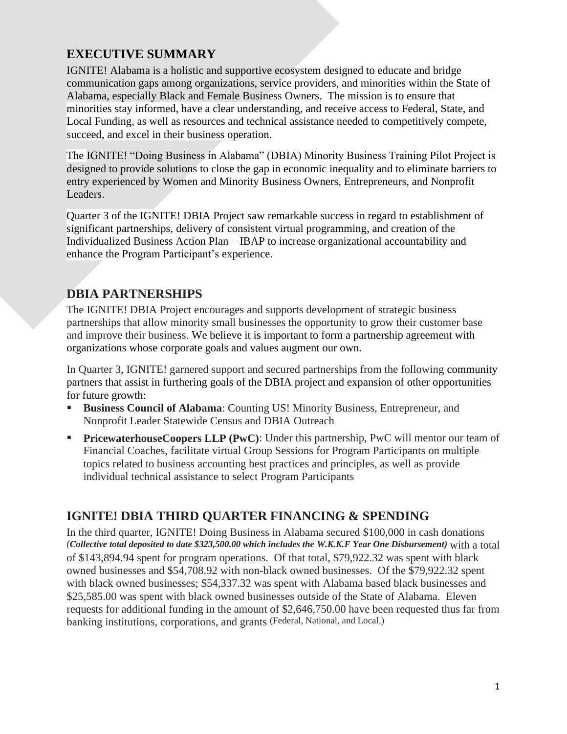# **EXECUTIVE SUMMARY**

IGNITE! Alabama is a holistic and supportive ecosystem designed to educate and bridge communication gaps among organizations, service providers, and minorities within the State of Alabama, especially Black and Female Business Owners. The mission is to ensure that minorities stay informed, have a clear understanding, and receive access to Federal, State, and Local Funding, as well as resources and technical assistance needed to competitively compete, succeed, and excel in their business operation.

The IGNITE! "Doing Business in Alabama" (DBIA) Minority Business Training Pilot Project is designed to provide solutions to close the gap in economic inequality and to eliminate barriers to entry experienced by Women and Minority Business Owners, Entrepreneurs, and Nonprofit Leaders.

Quarter 3 of the IGNITE! DBIA Project saw remarkable success in regard to establishment of significant partnerships, delivery of consistent virtual programming, and creation of the Individualized Business Action Plan – IBAP to increase organizational accountability and enhance the Program Participant's experience.

# **DBIA PARTNERSHIPS**

The IGNITE! DBIA Project encourages and supports development of strategic business partnerships that allow minority small businesses the opportunity to grow their customer base and improve their business. We believe it is important to form a partnership agreement with organizations whose corporate goals and values augment our own.

In Quarter 3, IGNITE! garnered support and secured partnerships from the following community partners that assist in furthering goals of the DBIA project and expansion of other opportunities for future growth:

- **Business Council of Alabama:** Counting US! Minority Business, Entrepreneur, and Nonprofit Leader Statewide Census and DBIA Outreach
- PricewaterhouseCoopers LLP (PwC): Under this partnership, PwC will mentor our team of Financial Coaches, facilitate virtual Group Sessions for Program Participants on multiple topics related to business accounting best practices and principles, as well as provide individual technical assistance to select Program Participants

# **IGNITE! DBIA THIRD QUARTER FINANCING & SPENDING**

In the third quarter, IGNITE! Doing Business in Alabama secured \$100,000 in cash donations *(Collective total deposited to date \$323,500.00 which includes the W.K.K.F Year One Disbursement)* with a total of \$143,894.94 spent for program operations. Of that total, \$79,922.32 was spent with black owned businesses and \$54,708.92 with non-black owned businesses. Of the \$79,922.32 spent with black owned businesses; \$54,337.32 was spent with Alabama based black businesses and \$25,585.00 was spent with black owned businesses outside of the State of Alabama. Eleven requests for additional funding in the amount of \$2,646,750.00 have been requested thus far from banking institutions, corporations, and grants (Federal, National, and Local.)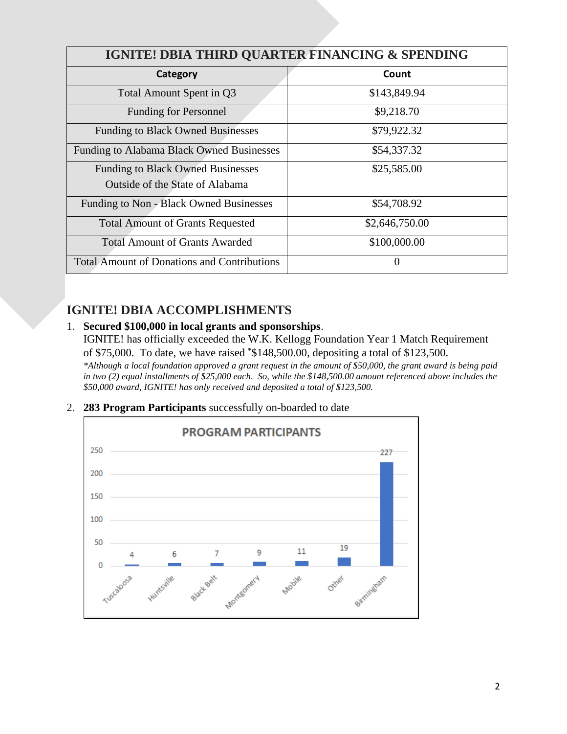| IGNITE! DBIA THIRD QUARTER FINANCING & SPENDING    |                  |  |
|----------------------------------------------------|------------------|--|
| Category                                           | Count            |  |
| Total Amount Spent in Q3                           | \$143,849.94     |  |
| <b>Funding for Personnel</b>                       | \$9,218.70       |  |
| <b>Funding to Black Owned Businesses</b>           | \$79,922.32      |  |
| Funding to Alabama Black Owned Businesses          | \$54,337.32      |  |
| <b>Funding to Black Owned Businesses</b>           | \$25,585.00      |  |
| Outside of the State of Alabama                    |                  |  |
| Funding to Non - Black Owned Businesses            | \$54,708.92      |  |
| <b>Total Amount of Grants Requested</b>            | \$2,646,750.00   |  |
| <b>Total Amount of Grants Awarded</b>              | \$100,000.00     |  |
| <b>Total Amount of Donations and Contributions</b> | $\left( \right)$ |  |

## **IGNITE! DBIA ACCOMPLISHMENTS**

### 1. **Secured \$100,000 in local grants and sponsorships**.

IGNITE! has officially exceeded the W.K. Kellogg Foundation Year 1 Match Requirement of \$75,000. To date, we have raised \*\$148,500.00, depositing a total of \$123,500. *\*Although a local foundation approved a grant request in the amount of \$50,000, the grant award is being paid in two (2) equal installments of \$25,000 each. So, while the \$148,500.00 amount referenced above includes the \$50,000 award, IGNITE! has only received and deposited a total of \$123,500.* 

2. **283 Program Participants** successfully on-boarded to date

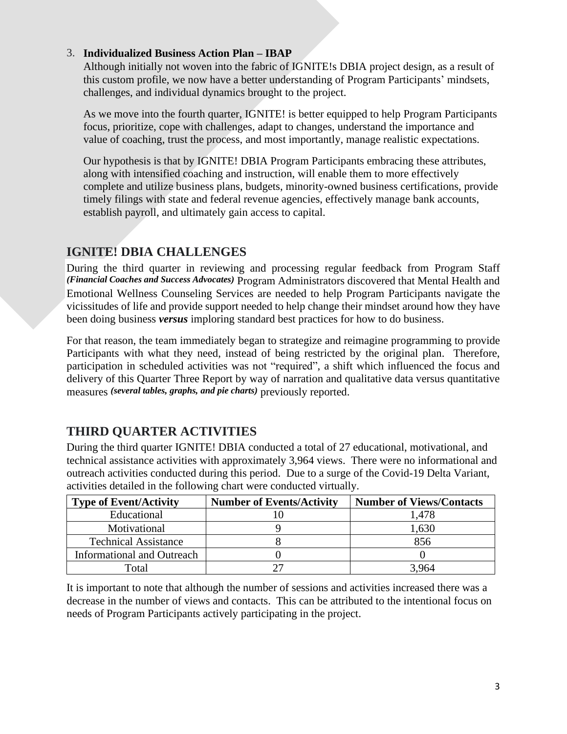#### 3. **Individualized Business Action Plan – IBAP**

Although initially not woven into the fabric of IGNITE!s DBIA project design, as a result of this custom profile, we now have a better understanding of Program Participants' mindsets, challenges, and individual dynamics brought to the project.

As we move into the fourth quarter, IGNITE! is better equipped to help Program Participants focus, prioritize, cope with challenges, adapt to changes, understand the importance and value of coaching, trust the process, and most importantly, manage realistic expectations.

Our hypothesis is that by IGNITE! DBIA Program Participants embracing these attributes, along with intensified coaching and instruction, will enable them to more effectively complete and utilize business plans, budgets, minority-owned business certifications, provide timely filings with state and federal revenue agencies, effectively manage bank accounts, establish payroll, and ultimately gain access to capital.

### **IGNITE! DBIA CHALLENGES**

During the third quarter in reviewing and processing regular feedback from Program Staff *(Financial Coaches and Success Advocates)* Program Administrators discovered that Mental Health and Emotional Wellness Counseling Services are needed to help Program Participants navigate the vicissitudes of life and provide support needed to help change their mindset around how they have been doing business *versus* imploring standard best practices for how to do business.

For that reason, the team immediately began to strategize and reimagine programming to provide Participants with what they need, instead of being restricted by the original plan. Therefore, participation in scheduled activities was not "required", a shift which influenced the focus and delivery of this Quarter Three Report by way of narration and qualitative data versus quantitative measures *(several tables, graphs, and pie charts)* previously reported.

# **THIRD QUARTER ACTIVITIES**

During the third quarter IGNITE! DBIA conducted a total of 27 educational, motivational, and technical assistance activities with approximately 3,964 views. There were no informational and outreach activities conducted during this period. Due to a surge of the Covid-19 Delta Variant, activities detailed in the following chart were conducted virtually.

| <b>Type of Event/Activity</b>     | <b>Number of Events/Activity</b> | <b>Number of Views/Contacts</b> |
|-----------------------------------|----------------------------------|---------------------------------|
| Educational                       |                                  | 1,478                           |
| Motivational                      |                                  | 1,630                           |
| <b>Technical Assistance</b>       |                                  | 856                             |
| <b>Informational and Outreach</b> |                                  |                                 |
| Fotal                             |                                  | 3 964                           |

It is important to note that although the number of sessions and activities increased there was a decrease in the number of views and contacts. This can be attributed to the intentional focus on needs of Program Participants actively participating in the project.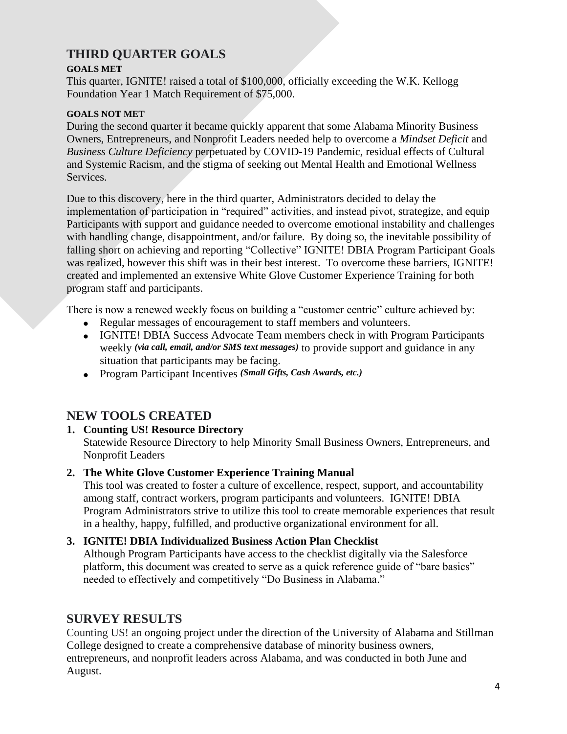# **THIRD QUARTER GOALS**

#### **GOALS MET**

This quarter, IGNITE! raised a total of \$100,000, officially exceeding the W.K. Kellogg Foundation Year 1 Match Requirement of \$75,000.

#### **GOALS NOT MET**

During the second quarter it became quickly apparent that some Alabama Minority Business Owners, Entrepreneurs, and Nonprofit Leaders needed help to overcome a *Mindset Deficit* and *Business Culture Deficiency* perpetuated by COVID-19 Pandemic, residual effects of Cultural and Systemic Racism, and the stigma of seeking out Mental Health and Emotional Wellness Services.

Due to this discovery, here in the third quarter, Administrators decided to delay the implementation of participation in "required" activities, and instead pivot, strategize, and equip Participants with support and guidance needed to overcome emotional instability and challenges with handling change, disappointment, and/or failure. By doing so, the inevitable possibility of falling short on achieving and reporting "Collective" IGNITE! DBIA Program Participant Goals was realized, however this shift was in their best interest. To overcome these barriers, IGNITE! created and implemented an extensive White Glove Customer Experience Training for both program staff and participants.

There is now a renewed weekly focus on building a "customer centric" culture achieved by:

- Regular messages of encouragement to staff members and volunteers.
- IGNITE! DBIA Success Advocate Team members check in with Program Participants weekly *(via call, email, and/or SMS text messages)* to provide support and guidance in any situation that participants may be facing.
- Program Participant Incentives *(Small Gifts, Cash Awards, etc.)*

## **NEW TOOLS CREATED**

### **1. Counting US! Resource Directory**

Statewide Resource Directory to help Minority Small Business Owners, Entrepreneurs, and Nonprofit Leaders

### **2. The White Glove Customer Experience Training Manual**

This tool was created to foster a culture of excellence, respect, support, and accountability among staff, contract workers, program participants and volunteers. IGNITE! DBIA Program Administrators strive to utilize this tool to create memorable experiences that result in a healthy, happy, fulfilled, and productive organizational environment for all.

### **3. IGNITE! DBIA Individualized Business Action Plan Checklist**

Although Program Participants have access to the checklist digitally via the Salesforce platform, this document was created to serve as a quick reference guide of "bare basics" needed to effectively and competitively "Do Business in Alabama."

## **SURVEY RESULTS**

Counting US! an ongoing project under the direction of the University of Alabama and Stillman College designed to create a comprehensive database of minority business owners, entrepreneurs, and nonprofit leaders across Alabama, and was conducted in both June and August.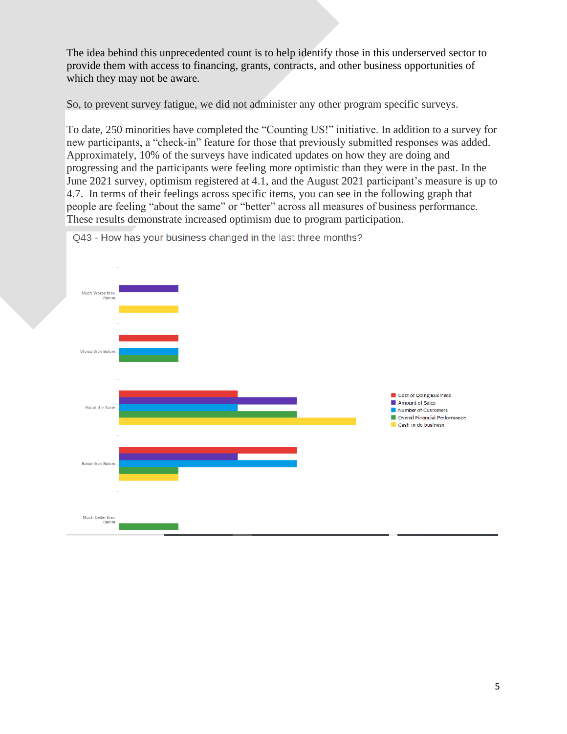The idea behind this unprecedented count is to help identify those in this underserved sector to provide them with access to financing, grants, contracts, and other business opportunities of which they may not be aware.

So, to prevent survey fatigue, we did not administer any other program specific surveys.

To date, 250 minorities have completed the "Counting US!" initiative. In addition to a survey for new participants, a "check-in" feature for those that previously submitted responses was added. Approximately, 10% of the surveys have indicated updates on how they are doing and progressing and the participants were feeling more optimistic than they were in the past. In the June 2021 survey, optimism registered at 4.1, and the August 2021 participant's measure is up to 4.7. In terms of their feelings across specific items, you can see in the following graph that people are feeling "about the same" or "better" across all measures of business performance. These results demonstrate increased optimism due to program participation.



Q43 - How has your business changed in the last three months?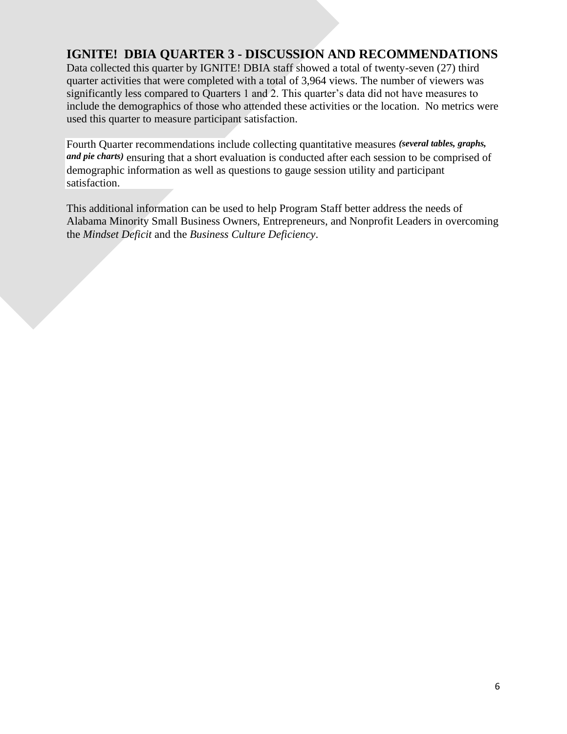# **IGNITE! DBIA QUARTER 3 - DISCUSSION AND RECOMMENDATIONS**

Data collected this quarter by IGNITE! DBIA staff showed a total of twenty-seven (27) third quarter activities that were completed with a total of 3,964 views. The number of viewers was significantly less compared to Quarters 1 and 2. This quarter's data did not have measures to include the demographics of those who attended these activities or the location. No metrics were used this quarter to measure participant satisfaction.

Fourth Quarter recommendations include collecting quantitative measures *(several tables, graphs, and pie charts)* ensuring that a short evaluation is conducted after each session to be comprised of demographic information as well as questions to gauge session utility and participant satisfaction.

This additional information can be used to help Program Staff better address the needs of Alabama Minority Small Business Owners, Entrepreneurs, and Nonprofit Leaders in overcoming the *Mindset Deficit* and the *Business Culture Deficiency*.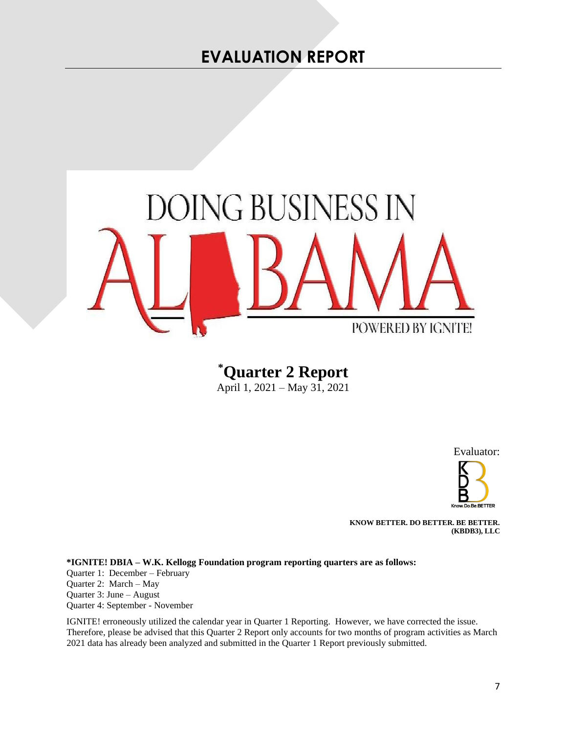

**\*Quarter 2 Report**  April 1, 2021 – May 31, 2021

Evaluator:



**KNOW BETTER. DO BETTER. BE BETTER. (KBDB3), LLC**

**\*IGNITE! DBIA – W.K. Kellogg Foundation program reporting quarters are as follows:** Quarter 1: December – February Quarter 2: March – May Quarter 3: June – August Quarter 4: September - November

IGNITE! erroneously utilized the calendar year in Quarter 1 Reporting. However, we have corrected the issue. Therefore, please be advised that this Quarter 2 Report only accounts for two months of program activities as March 2021 data has already been analyzed and submitted in the Quarter 1 Report previously submitted.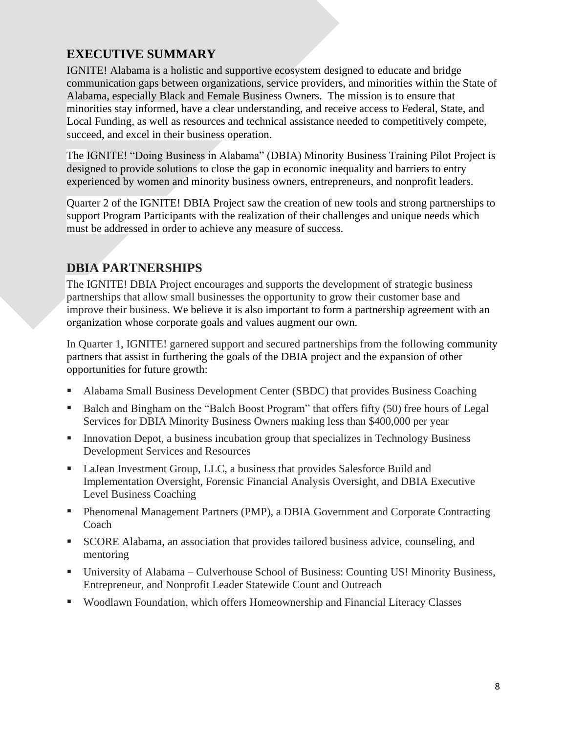# **EXECUTIVE SUMMARY**

IGNITE! Alabama is a holistic and supportive ecosystem designed to educate and bridge communication gaps between organizations, service providers, and minorities within the State of Alabama, especially Black and Female Business Owners. The mission is to ensure that minorities stay informed, have a clear understanding, and receive access to Federal, State, and Local Funding, as well as resources and technical assistance needed to competitively compete, succeed, and excel in their business operation.

The IGNITE! "Doing Business in Alabama" (DBIA) Minority Business Training Pilot Project is designed to provide solutions to close the gap in economic inequality and barriers to entry experienced by women and minority business owners, entrepreneurs, and nonprofit leaders.

Quarter 2 of the IGNITE! DBIA Project saw the creation of new tools and strong partnerships to support Program Participants with the realization of their challenges and unique needs which must be addressed in order to achieve any measure of success.

# **DBIA PARTNERSHIPS**

The IGNITE! DBIA Project encourages and supports the development of strategic business partnerships that allow small businesses the opportunity to grow their customer base and improve their business. We believe it is also important to form a partnership agreement with an organization whose corporate goals and values augment our own.

In Quarter 1, IGNITE! garnered support and secured partnerships from the following community partners that assist in furthering the goals of the DBIA project and the expansion of other opportunities for future growth:

- Alabama Small Business Development Center (SBDC) that provides Business Coaching
- Balch and Bingham on the "Balch Boost Program" that offers fifty (50) free hours of Legal Services for DBIA Minority Business Owners making less than \$400,000 per year
- Innovation Depot, a business incubation group that specializes in Technology Business Development Services and Resources
- LaJean Investment Group, LLC, a business that provides Salesforce Build and Implementation Oversight, Forensic Financial Analysis Oversight, and DBIA Executive Level Business Coaching
- Phenomenal Management Partners (PMP), a DBIA Government and Corporate Contracting Coach
- SCORE Alabama, an association that provides tailored business advice, counseling, and mentoring
- University of Alabama Culverhouse School of Business: Counting US! Minority Business, Entrepreneur, and Nonprofit Leader Statewide Count and Outreach
- Woodlawn Foundation, which offers Homeownership and Financial Literacy Classes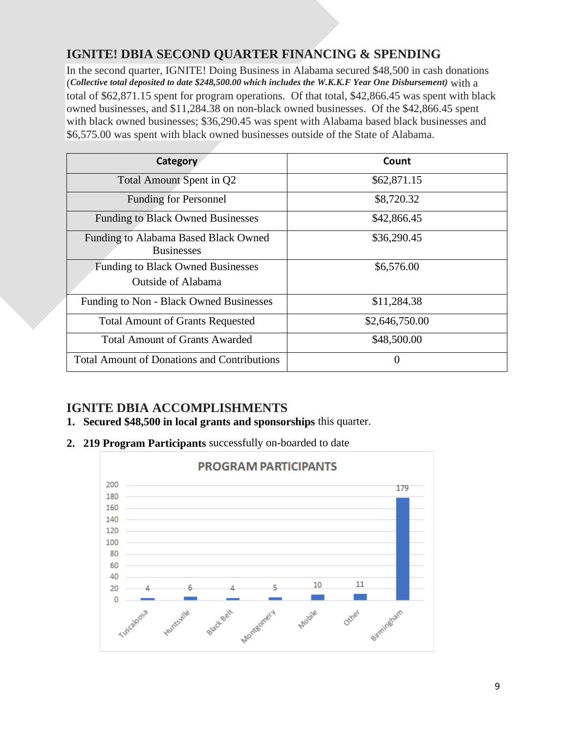# **IGNITE! DBIA SECOND QUARTER FINANCING & SPENDING**

In the second quarter, IGNITE! Doing Business in Alabama secured \$48,500 in cash donations (*Collective total deposited to date \$248,500.00 which includes the W.K.K.F Year One Disbursement)* with a total of \$62,871.15 spent for program operations. Of that total, \$42,866.45 was spent with black owned businesses, and \$11,284.38 on non-black owned businesses. Of the \$42,866.45 spent with black owned businesses; \$36,290.45 was spent with Alabama based black businesses and \$6,575.00 was spent with black owned businesses outside of the State of Alabama.

| Category                                                       | Count          |
|----------------------------------------------------------------|----------------|
| Total Amount Spent in Q2                                       | \$62,871.15    |
| <b>Funding for Personnel</b>                                   | \$8,720.32     |
| <b>Funding to Black Owned Businesses</b>                       | \$42,866.45    |
| Funding to Alabama Based Black Owned<br><b>Businesses</b>      | \$36,290.45    |
| <b>Funding to Black Owned Businesses</b><br>Outside of Alabama | \$6,576.00     |
| Funding to Non - Black Owned Businesses                        | \$11,284.38    |
| <b>Total Amount of Grants Requested</b>                        | \$2,646,750.00 |
| <b>Total Amount of Grants Awarded</b>                          | \$48,500.00    |
| <b>Total Amount of Donations and Contributions</b>             | 0              |

# **IGNITE DBIA ACCOMPLISHMENTS**

- **1. Secured \$48,500 in local grants and sponsorships** this quarter.
- **2. 219 Program Participants** successfully on-boarded to date

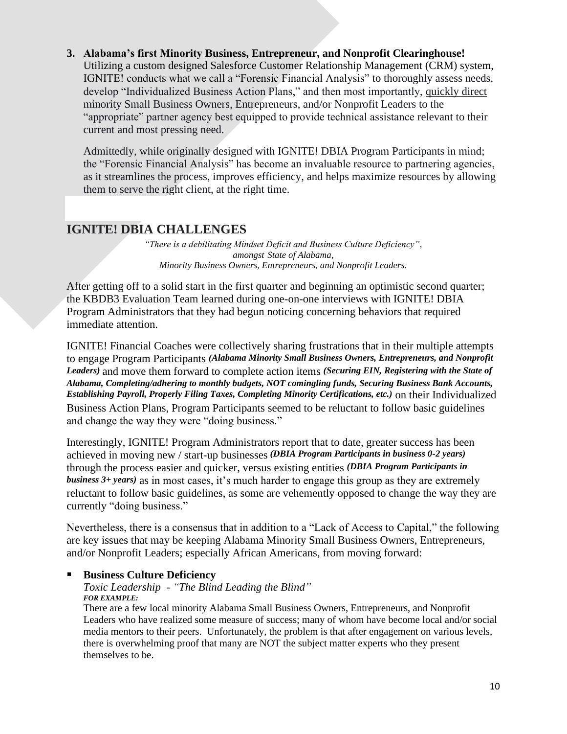#### **3. Alabama's first Minority Business, Entrepreneur, and Nonprofit Clearinghouse!**

Utilizing a custom designed Salesforce Customer Relationship Management (CRM) system, IGNITE! conducts what we call a "Forensic Financial Analysis" to thoroughly assess needs, develop "Individualized Business Action Plans," and then most importantly, quickly direct minority Small Business Owners, Entrepreneurs, and/or Nonprofit Leaders to the "appropriate" partner agency best equipped to provide technical assistance relevant to their current and most pressing need.

Admittedly, while originally designed with IGNITE! DBIA Program Participants in mind; the "Forensic Financial Analysis" has become an invaluable resource to partnering agencies, as it streamlines the process, improves efficiency, and helps maximize resources by allowing them to serve the right client, at the right time.

## **IGNITE! DBIA CHALLENGES**

*"There is a debilitating Mindset Deficit and Business Culture Deficiency", amongst State of Alabama, Minority Business Owners, Entrepreneurs, and Nonprofit Leaders.*

After getting off to a solid start in the first quarter and beginning an optimistic second quarter; the KBDB3 Evaluation Team learned during one-on-one interviews with IGNITE! DBIA Program Administrators that they had begun noticing concerning behaviors that required immediate attention.

IGNITE! Financial Coaches were collectively sharing frustrations that in their multiple attempts to engage Program Participants *(Alabama Minority Small Business Owners, Entrepreneurs, and Nonprofit Leaders)* and move them forward to complete action items *(Securing EIN, Registering with the State of Alabama, Completing/adhering to monthly budgets, NOT comingling funds, Securing Business Bank Accounts, Establishing Payroll, Properly Filing Taxes, Completing Minority Certifications, etc.)* on their Individualized Business Action Plans, Program Participants seemed to be reluctant to follow basic guidelines and change the way they were "doing business."

Interestingly, IGNITE! Program Administrators report that to date, greater success has been achieved in moving new / start-up businesses *(DBIA Program Participants in business 0-2 years)* through the process easier and quicker, versus existing entities *(DBIA Program Participants in business 3+ years)* as in most cases, it's much harder to engage this group as they are extremely reluctant to follow basic guidelines, as some are vehemently opposed to change the way they are currently "doing business."

Nevertheless, there is a consensus that in addition to a "Lack of Access to Capital," the following are key issues that may be keeping Alabama Minority Small Business Owners, Entrepreneurs, and/or Nonprofit Leaders; especially African Americans, from moving forward:

#### **Business Culture Deficiency**

#### *Toxic Leadership - "The Blind Leading the Blind" FOR EXAMPLE:*

There are a few local minority Alabama Small Business Owners, Entrepreneurs, and Nonprofit Leaders who have realized some measure of success; many of whom have become local and/or social media mentors to their peers. Unfortunately, the problem is that after engagement on various levels, there is overwhelming proof that many are NOT the subject matter experts who they present themselves to be.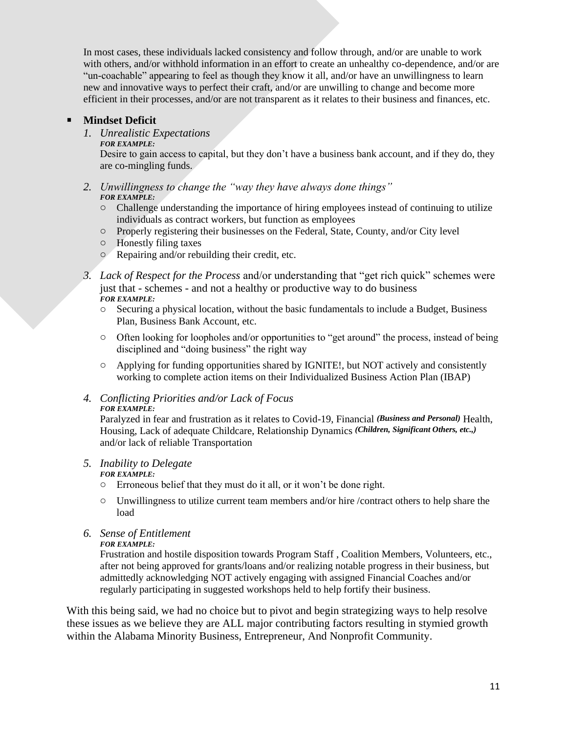In most cases, these individuals lacked consistency and follow through, and/or are unable to work with others, and/or withhold information in an effort to create an unhealthy co-dependence, and/or are "un-coachable" appearing to feel as though they know it all, and/or have an unwillingness to learn new and innovative ways to perfect their craft, and/or are unwilling to change and become more efficient in their processes, and/or are not transparent as it relates to their business and finances, etc.

#### **Mindset Deficit**

#### *1. Unrealistic Expectations*

*FOR EXAMPLE:*

Desire to gain access to capital, but they don't have a business bank account, and if they do, they are co-mingling funds.

- *2. Unwillingness to change the "way they have always done things" FOR EXAMPLE:*
	- o Challenge understanding the importance of hiring employees instead of continuing to utilize individuals as contract workers, but function as employees
	- o Properly registering their businesses on the Federal, State, County, and/or City level
	- o Honestly filing taxes
	- o Repairing and/or rebuilding their credit, etc.
- *3. Lack of Respect for the Process* and/or understanding that "get rich quick" schemes were just that - schemes - and not a healthy or productive way to do business *FOR EXAMPLE:*
	- o Securing a physical location, without the basic fundamentals to include a Budget, Business Plan, Business Bank Account, etc.
	- $\circ$  Often looking for loopholes and/or opportunities to "get around" the process, instead of being disciplined and "doing business" the right way
	- o Applying for funding opportunities shared by IGNITE!, but NOT actively and consistently working to complete action items on their Individualized Business Action Plan (IBAP)
- *4. Conflicting Priorities and/or Lack of Focus FOR EXAMPLE:*

Paralyzed in fear and frustration as it relates to Covid-19, Financial *(Business and Personal)* Health, Housing, Lack of adequate Childcare, Relationship Dynamics *(Children, Significant Others, etc.,)* and/or lack of reliable Transportation

#### *5. Inability to Delegate*

#### *FOR EXAMPLE:*

o Erroneous belief that they must do it all, or it won't be done right.

o Unwillingness to utilize current team members and/or hire /contract others to help share the load

#### *6. Sense of Entitlement*

*FOR EXAMPLE:*

Frustration and hostile disposition towards Program Staff , Coalition Members, Volunteers, etc., after not being approved for grants/loans and/or realizing notable progress in their business, but admittedly acknowledging NOT actively engaging with assigned Financial Coaches and/or regularly participating in suggested workshops held to help fortify their business.

With this being said, we had no choice but to pivot and begin strategizing ways to help resolve these issues as we believe they are ALL major contributing factors resulting in stymied growth within the Alabama Minority Business, Entrepreneur, And Nonprofit Community.